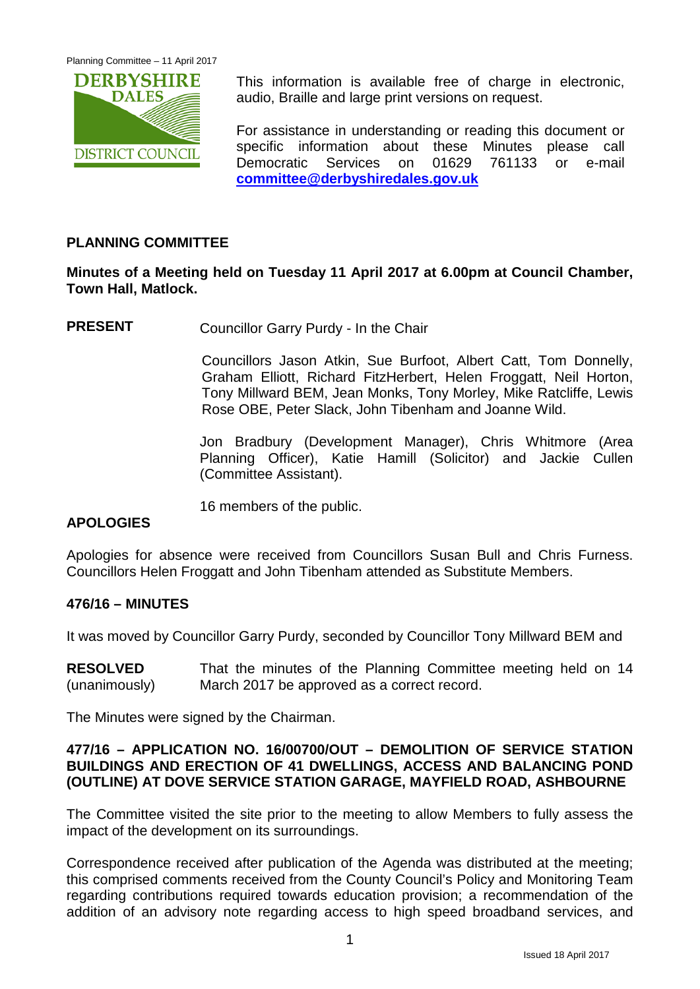

This information is available free of charge in electronic, audio, Braille and large print versions on request.

For assistance in understanding or reading this document or specific information about these Minutes please call Democratic Services on 01629 761133 or e-mail **[committee@derbyshiredales.gov.uk](mailto:committee@derbyshiredales.gov.uk)**

# **PLANNING COMMITTEE**

# **Minutes of a Meeting held on Tuesday 11 April 2017 at 6.00pm at Council Chamber, Town Hall, Matlock.**

**PRESENT** Councillor Garry Purdy - In the Chair

Councillors Jason Atkin, Sue Burfoot, Albert Catt, Tom Donnelly, Graham Elliott, Richard FitzHerbert, Helen Froggatt, Neil Horton, Tony Millward BEM, Jean Monks, Tony Morley, Mike Ratcliffe, Lewis Rose OBE, Peter Slack, John Tibenham and Joanne Wild.

Jon Bradbury (Development Manager), Chris Whitmore (Area Planning Officer), Katie Hamill (Solicitor) and Jackie Cullen (Committee Assistant).

16 members of the public.

# **APOLOGIES**

Apologies for absence were received from Councillors Susan Bull and Chris Furness. Councillors Helen Froggatt and John Tibenham attended as Substitute Members.

## **476/16 – MINUTES**

It was moved by Councillor Garry Purdy, seconded by Councillor Tony Millward BEM and

**RESOLVED** (unanimously) That the minutes of the Planning Committee meeting held on 14 March 2017 be approved as a correct record.

The Minutes were signed by the Chairman.

## **477/16 – APPLICATION NO. 16/00700/OUT – DEMOLITION OF SERVICE STATION BUILDINGS AND ERECTION OF 41 DWELLINGS, ACCESS AND BALANCING POND (OUTLINE) AT DOVE SERVICE STATION GARAGE, MAYFIELD ROAD, ASHBOURNE**

The Committee visited the site prior to the meeting to allow Members to fully assess the impact of the development on its surroundings.

Correspondence received after publication of the Agenda was distributed at the meeting; this comprised comments received from the County Council's Policy and Monitoring Team regarding contributions required towards education provision; a recommendation of the addition of an advisory note regarding access to high speed broadband services, and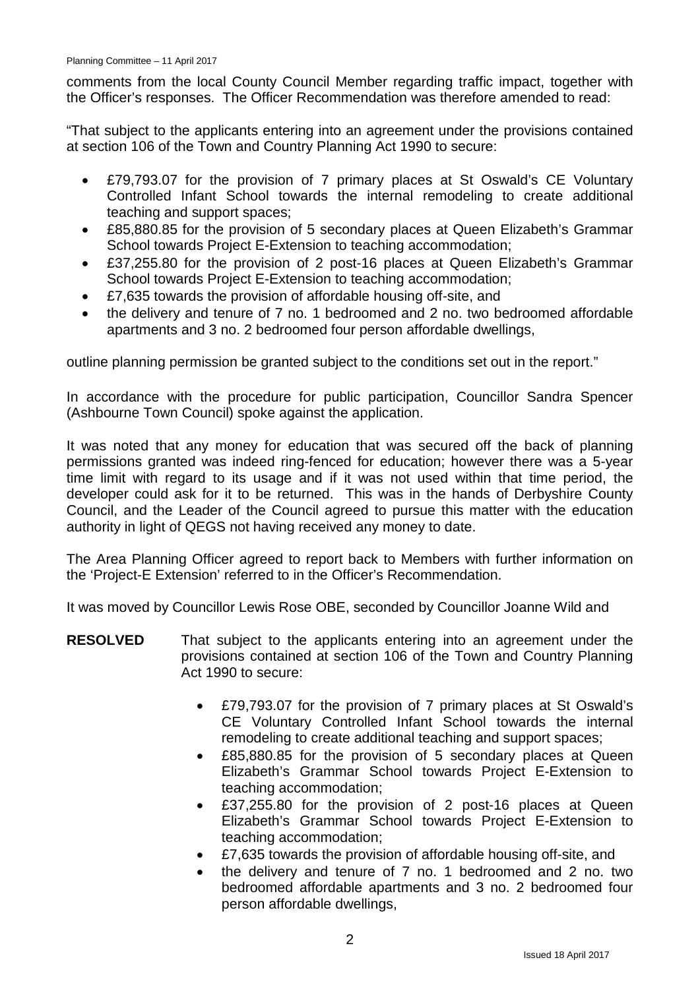comments from the local County Council Member regarding traffic impact, together with the Officer's responses. The Officer Recommendation was therefore amended to read:

"That subject to the applicants entering into an agreement under the provisions contained at section 106 of the Town and Country Planning Act 1990 to secure:

- £79,793.07 for the provision of 7 primary places at St Oswald's CE Voluntary Controlled Infant School towards the internal remodeling to create additional teaching and support spaces;
- £85,880.85 for the provision of 5 secondary places at Queen Elizabeth's Grammar School towards Project E-Extension to teaching accommodation;
- £37,255.80 for the provision of 2 post-16 places at Queen Elizabeth's Grammar School towards Project E-Extension to teaching accommodation;
- £7,635 towards the provision of affordable housing off-site, and
- the delivery and tenure of 7 no. 1 bedroomed and 2 no. two bedroomed affordable apartments and 3 no. 2 bedroomed four person affordable dwellings,

outline planning permission be granted subject to the conditions set out in the report."

In accordance with the procedure for public participation, Councillor Sandra Spencer (Ashbourne Town Council) spoke against the application.

It was noted that any money for education that was secured off the back of planning permissions granted was indeed ring-fenced for education; however there was a 5-year time limit with regard to its usage and if it was not used within that time period, the developer could ask for it to be returned. This was in the hands of Derbyshire County Council, and the Leader of the Council agreed to pursue this matter with the education authority in light of QEGS not having received any money to date.

The Area Planning Officer agreed to report back to Members with further information on the 'Project-E Extension' referred to in the Officer's Recommendation.

It was moved by Councillor Lewis Rose OBE, seconded by Councillor Joanne Wild and

- **RESOLVED** That subject to the applicants entering into an agreement under the provisions contained at section 106 of the Town and Country Planning Act 1990 to secure:
	- £79,793.07 for the provision of 7 primary places at St Oswald's CE Voluntary Controlled Infant School towards the internal remodeling to create additional teaching and support spaces;
	- £85,880.85 for the provision of 5 secondary places at Queen Elizabeth's Grammar School towards Project E-Extension to teaching accommodation;
	- £37,255.80 for the provision of 2 post-16 places at Queen Elizabeth's Grammar School towards Project E-Extension to teaching accommodation;
	- £7,635 towards the provision of affordable housing off-site, and
	- the delivery and tenure of 7 no. 1 bedroomed and 2 no. two bedroomed affordable apartments and 3 no. 2 bedroomed four person affordable dwellings,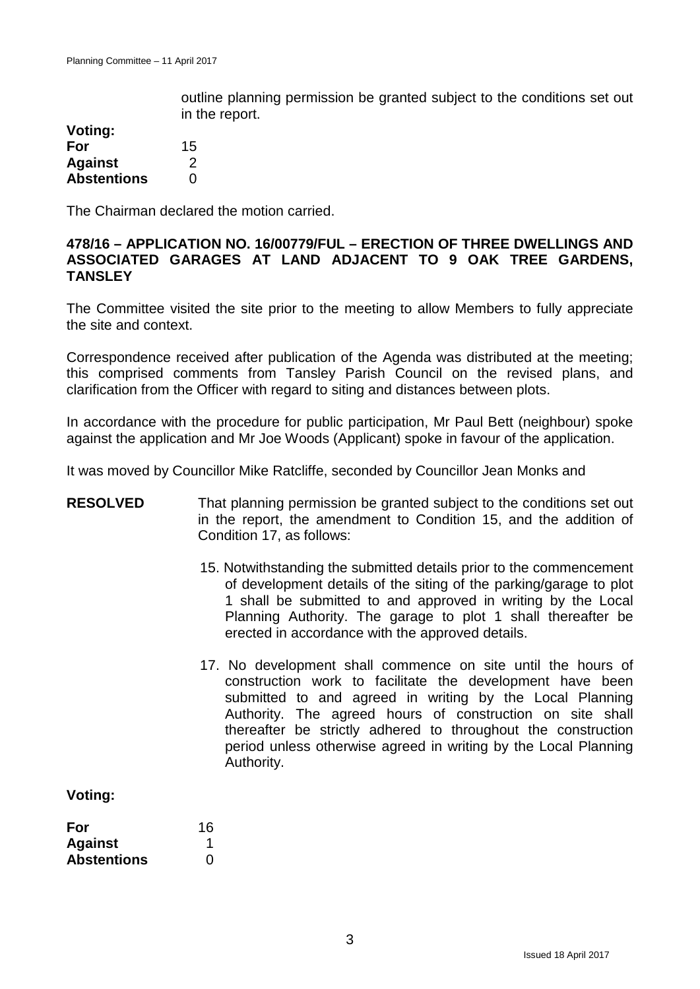outline planning permission be granted subject to the conditions set out in the report.

| Voting:            |    |
|--------------------|----|
| For                | 15 |
| <b>Against</b>     | 2  |
| <b>Abstentions</b> | O  |

The Chairman declared the motion carried.

## **478/16 – APPLICATION NO. 16/00779/FUL – ERECTION OF THREE DWELLINGS AND ASSOCIATED GARAGES AT LAND ADJACENT TO 9 OAK TREE GARDENS, TANSLEY**

The Committee visited the site prior to the meeting to allow Members to fully appreciate the site and context.

Correspondence received after publication of the Agenda was distributed at the meeting; this comprised comments from Tansley Parish Council on the revised plans, and clarification from the Officer with regard to siting and distances between plots.

In accordance with the procedure for public participation, Mr Paul Bett (neighbour) spoke against the application and Mr Joe Woods (Applicant) spoke in favour of the application.

It was moved by Councillor Mike Ratcliffe, seconded by Councillor Jean Monks and

| <b>RESOLVED</b>                             | That planning permission be granted subject to the conditions set out<br>in the report, the amendment to Condition 15, and the addition of<br>Condition 17, as follows:                                                                                                                                                                                                                              |  |
|---------------------------------------------|------------------------------------------------------------------------------------------------------------------------------------------------------------------------------------------------------------------------------------------------------------------------------------------------------------------------------------------------------------------------------------------------------|--|
|                                             | 15. Notwithstanding the submitted details prior to the commencement<br>of development details of the siting of the parking/garage to plot<br>1 shall be submitted to and approved in writing by the Local<br>Planning Authority. The garage to plot 1 shall thereafter be<br>erected in accordance with the approved details.                                                                        |  |
|                                             | 17. No development shall commence on site until the hours of<br>construction work to facilitate the development have been<br>submitted to and agreed in writing by the Local Planning<br>Authority. The agreed hours of construction on site shall<br>thereafter be strictly adhered to throughout the construction<br>period unless otherwise agreed in writing by the Local Planning<br>Authority. |  |
| Voting:                                     |                                                                                                                                                                                                                                                                                                                                                                                                      |  |
| For<br><b>Against</b><br><b>Abstentions</b> | 16<br>$\overline{0}$                                                                                                                                                                                                                                                                                                                                                                                 |  |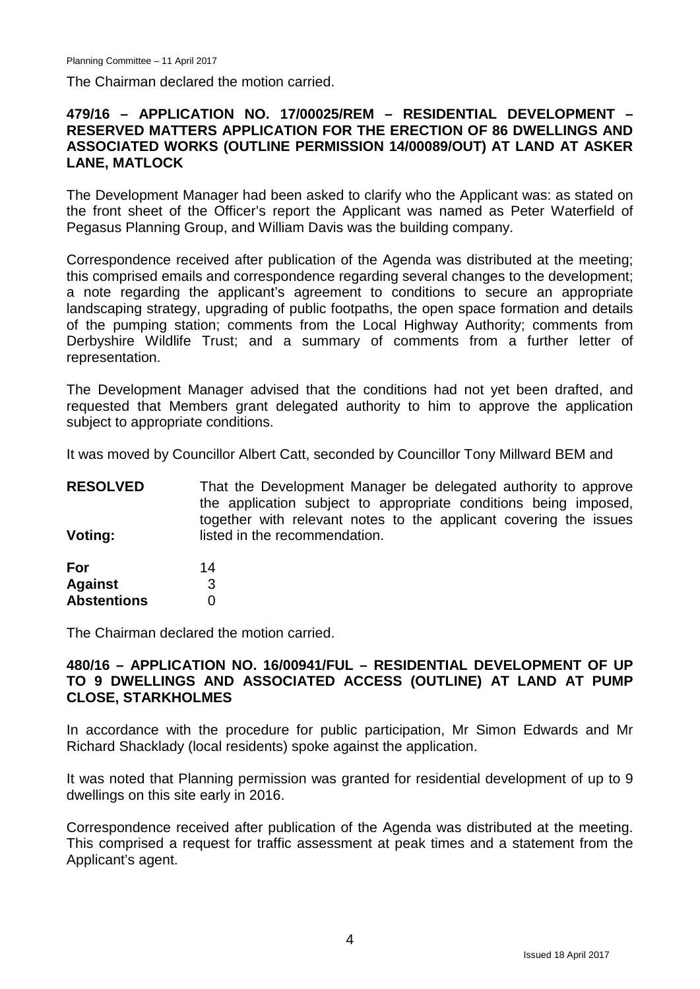The Chairman declared the motion carried.

#### **479/16 – APPLICATION NO. 17/00025/REM – RESIDENTIAL DEVELOPMENT – RESERVED MATTERS APPLICATION FOR THE ERECTION OF 86 DWELLINGS AND ASSOCIATED WORKS (OUTLINE PERMISSION 14/00089/OUT) AT LAND AT ASKER LANE, MATLOCK**

The Development Manager had been asked to clarify who the Applicant was: as stated on the front sheet of the Officer's report the Applicant was named as Peter Waterfield of Pegasus Planning Group, and William Davis was the building company.

Correspondence received after publication of the Agenda was distributed at the meeting; this comprised emails and correspondence regarding several changes to the development; a note regarding the applicant's agreement to conditions to secure an appropriate landscaping strategy, upgrading of public footpaths, the open space formation and details of the pumping station; comments from the Local Highway Authority; comments from Derbyshire Wildlife Trust; and a summary of comments from a further letter of representation.

The Development Manager advised that the conditions had not yet been drafted, and requested that Members grant delegated authority to him to approve the application subject to appropriate conditions.

It was moved by Councillor Albert Catt, seconded by Councillor Tony Millward BEM and

| <b>RESOLVED</b> | That the Development Manager be delegated authority to approve    |
|-----------------|-------------------------------------------------------------------|
|                 | the application subject to appropriate conditions being imposed,  |
|                 | together with relevant notes to the applicant covering the issues |
| Voting:         | listed in the recommendation.                                     |
|                 |                                                                   |

| For                | 14 |
|--------------------|----|
| <b>Against</b>     | З  |
| <b>Abstentions</b> | 0  |

The Chairman declared the motion carried.

#### **480/16 – APPLICATION NO. 16/00941/FUL – RESIDENTIAL DEVELOPMENT OF UP TO 9 DWELLINGS AND ASSOCIATED ACCESS (OUTLINE) AT LAND AT PUMP CLOSE, STARKHOLMES**

In accordance with the procedure for public participation, Mr Simon Edwards and Mr Richard Shacklady (local residents) spoke against the application.

It was noted that Planning permission was granted for residential development of up to 9 dwellings on this site early in 2016.

Correspondence received after publication of the Agenda was distributed at the meeting. This comprised a request for traffic assessment at peak times and a statement from the Applicant's agent.